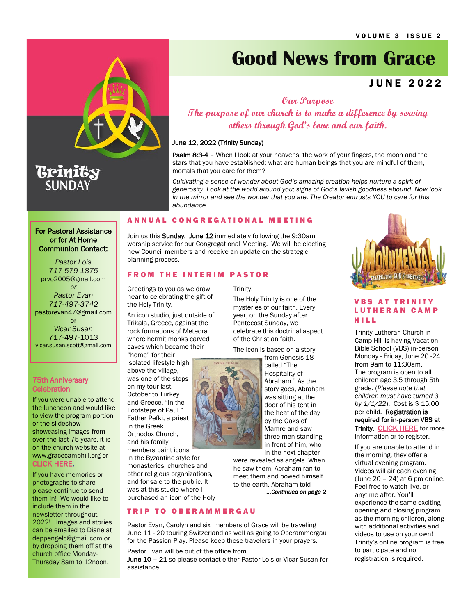

# Trinity **SUNDAY**

# **Good News from Grace**

# J U N E 2 0 2 2

**Our Purpose**

**The purpose of our church is to make a difference by serving others through God's love and our faith.**

# June 12, 2022 (Trinity Sunday)

Psalm 8:3-4 - When I look at your heavens, the work of your fingers, the moon and the stars that you have established; what are human beings that you are mindful of them, mortals that you care for them?

*Cultivating a sense of wonder about God's amazing creation helps nurture a spirit of generosity. Look at the world around you; signs of God's lavish goodness abound. Now look in the mirror and see the wonder that you are. The Creator entrusts YOU to care for this abundance.*

# A N N U A L C O N G R E G A T I O N A L M E E T I N G

Join us this **Sunday, June 12** immediately following the 9:30am worship service for our Congregational Meeting. We will be electing new Council members and receive an update on the strategic planning process.

Trinity.

# **FROM THE INTERIM PASTOR**

Greetings to you as we draw near to celebrating the gift of the Holy Trinity.

An icon studio, just outside of Trikala, Greece, against the rock formations of Meteora where hermit monks carved caves which became their "home" for their

isolated lifestyle high above the village, was one of the stops on my tour last October to Turkey and Greece, "In the Footsteps of Paul." Father Pefki, a priest in the Greek Orthodox Church, and his family

members paint icons in the Byzantine style for monasteries, churches and other religious organizations, and for sale to the public. It was at this studio where I purchased an icon of the Holy

**TRIP TO OBERAMMERGAU** 

Pastor Evan, Carolyn and six members of Grace will be traveling June 11 - 20 touring Switzerland as well as going to Oberammergau for the Passion Play. Please keep these travelers in your prayers.

Pastor Evan will be out of the office from

June 10 - 21 so please contact either Pastor Lois or Vicar Susan for assistance.



# **VBS AT TRINITY** L U T H E R A N C A M P H I L L

Trinity Lutheran Church in Camp Hill is having Vacation Bible School (VBS) in-person Monday - Friday, June 20 -24 from 9am to 11:30am. The program is open to all children age 3.5 through 5th grade. (*Please note that children must have turned 3 by 1/1/22*). Cost is \$ 15.00 per child. Registration is required for in-person VBS at Trinity. [CLICK HERE](https://www.trinitycamphill.org/VBS/?fbclid=IwAR1JQLPyn5pMWUrEdQtlhWDsctfF5MRTZlFUcK_TT0dVhpdaqSqzDWeWnv8&fs=e&s=cl) for more

information or to register.

If you are unable to attend in the morning, they offer a virtual evening program. Videos will air each evening (June 20 – 24) at 6 pm online. Feel free to watch live, or anytime after. You'll experience the same exciting opening and closing program as the morning children, along with additional activities and videos to use on your own! Trinity's online program is free to participate and no registration is required.

For Pastoral Assistance or for At Home Communion Contact:

*Pastor Lois 717-579-1875* prvo2005@gmail.com *or Pastor Evan 717-497-3742* pastorevan47@gmail.com or *Vicar Susan*  717-497-1013 vicar.susan.scott@gmail.com

# 75th Anniversary **Celebration**

If you were unable to attend the luncheon and would like to view the program portion or the slideshow showcasing images from over the last 75 years, it is on the church website at www.gracecamphill.org or [CLICK HERE](https://www.gracecamphill.org/75th-anniversary-celebration).

If you have memories or photographs to share please continue to send them in! We would like to include them in the newsletter throughout 2022! Images and stories can be emailed to Diane at deppengelc@gmail.com or by dropping them off at the church office Monday-Thursday 8am to 12noon.



The Holy Trinity is one of the mysteries of our faith. Every year, on the Sunday after Pentecost Sunday, we celebrate this doctrinal aspect of the Christian faith.

The icon is based on a story

from Genesis 18 called "The Hospitality of Abraham." As the story goes, Abraham was sitting at the door of his tent in the heat of the day by the Oaks of Mamre and saw three men standing in front of him, who in the next chapter

were revealed as angels. When he saw them, Abraham ran to meet them and bowed himself to the earth. Abraham told *...Continued on page 2*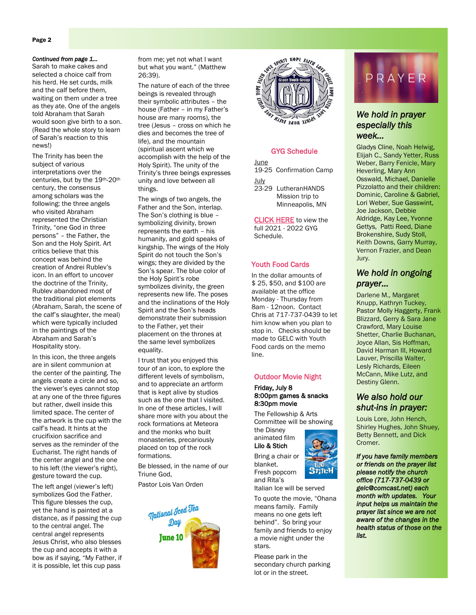# Page 2

#### *Continued from page 1...*

Sarah to make cakes and selected a choice calf from his herd. He set curds, milk and the calf before them, waiting on them under a tree as they ate. One of the angels told Abraham that Sarah would soon give birth to a son. (Read the whole story to learn of Sarah's reaction to this news!)

The Trinity has been the subject of various interpretations over the centuries, but by the 19th-20th century, the consensus among scholars was the following: the three angels who visited Abraham represented the Christian Trinity, "one God in three persons" – the Father, the Son and the Holy Spirit. Art critics believe that this concept was behind the creation of Andrei Rublev's icon. In an effort to uncover the doctrine of the Trinity, Rublev abandoned most of the traditional plot elements (Abraham, Sarah, the scene of the calf's slaughter, the meal) which were typically included in the paintings of the Abraham and Sarah's Hospitality story.

In this icon, the three angels are in silent communion at the center of the painting. The angels create a circle and so, the viewer's eyes cannot stop at any one of the three figures but rather, dwell inside this limited space. The center of the artwork is the cup with the calf's head. It hints at the crucifixion sacrifice and serves as the reminder of the Eucharist. The right hands of the center angel and the one to his left (the viewer's right), gesture toward the cup.

The left angel (viewer's left) symbolizes God the Father. This figure blesses the cup, yet the hand is painted at a distance, as if passing the cup to the central angel. The central angel represents Jesus Christ, who also blesses the cup and accepts it with a bow as if saying, "My Father, if it is possible, let this cup pass

from me; yet not what I want but what you want." (Matthew 26:39).

The nature of each of the three beings is revealed through their symbolic attributes – the house (Father – in my Father's house are many rooms), the tree (Jesus – cross on which he dies and becomes the tree of life), and the mountain (spiritual ascent which we accomplish with the help of the Holy Spirit). The unity of the Trinity's three beings expresses unity and love between all things.

The wings of two angels, the Father and the Son, interlap. The Son's clothing is blue – symbolizing divinity, brown represents the earth – his humanity, and gold speaks of kingship. The wings of the Holy Spirit do not touch the Son's wings; they are divided by the Son's spear. The blue color of the Holy Spirit's robe symbolizes divinity, the green represents new life. The poses and the inclinations of the Holy Spirit and the Son's heads demonstrate their submission to the Father, yet their placement on the thrones at the same level symbolizes equality.

I trust that you enjoyed this tour of an icon, to explore the different levels of symbolism, and to appreciate an artform that is kept alive by studios such as the one that I visited. In one of these articles, I will share more with you about the rock formations at Meteora and the monks who built monasteries, precariously placed on top of the rock formations.

Be blessed, in the name of our Triune God,

Pastor Lois Van Orden





#### GYG Schedule

June 19-25 Confirmation Camp July 23-29 LutheranHANDS

Mission trip to Minneapolis, MN

[CLICK HERE](https://b09c93a5-c12d-425b-9eac-2de470f65c89.filesusr.com/ugd/f68493_630a778947f140e1abb7f6de44fc3f17.pdf) to view the full 2021 - 2022 GYG Schedule.

## Youth Food Cards

In the dollar amounts of \$ 25, \$50, and \$100 are available at the office Monday - Thursday from 8am - 12noon. Contact Chris at 717-737-0439 to let him know when you plan to stop in. Checks should be made to GELC with Youth Food cards on the memo line.

#### Outdoor Movie Night

#### Friday, July 8 8:00pm games & snacks 8:30pm movie

 The Fellowship & Arts Committee will be showing the Disney

animated film Lilo & Stich Bring a chair or

blanket.

and Rita's



Italian Ice will be served

To quote the movie, "Ohana means family. Family means no one gets left behind". So bring your family and friends to enjoy a movie night under the stars.

Please park in the secondary church parking lot or in the street.



# *We hold in prayer especially this week…*

Gladys Cline, Noah Helwig, Elijah C., Sandy Yetter, Russ Weber, Barry Fenicle, Mary Heverling, Mary Ann Osswald, Michael, Danielle Pizzolatto and their children: Dominic, Caroline & Gabriel, Lori Weber, Sue Gasswint, Joe Jackson, Debbie Aldridge, Kay Lee, Yvonne Gettys, Patti Reed, Diane Brokenshire, Sudy Stoll, Keith Downs, Garry Murray, Vernon Frazier, and Dean Jury.

# *We hold in ongoing prayer…*

Darlene M., Margaret Knupp, Kathryn Tuckey, Pastor Molly Haggerty, Frank Blizzard, Gerry & Sara Jane Crawford, Mary Louise Shetter, Charlie Buchanan, Joyce Allan, Sis Hoffman, David Harman III, Howard Lauver, Priscilla Walter, Lesly Richards, Eileen McCann, Mike Lutz, and Destiny Glenn.

# *We also hold our shut-ins in prayer:*

Louis Lore, John Hench, Shirley Hughes, John Shuey, Betty Bennett, and Dick Cromer.

*If you have family members or friends on the prayer list please notify the church office (717-737-0439 or gelc@comcast.net) each month with updates. Your input helps us maintain the prayer list since we are not aware of the changes in the health status of those on the list.* 

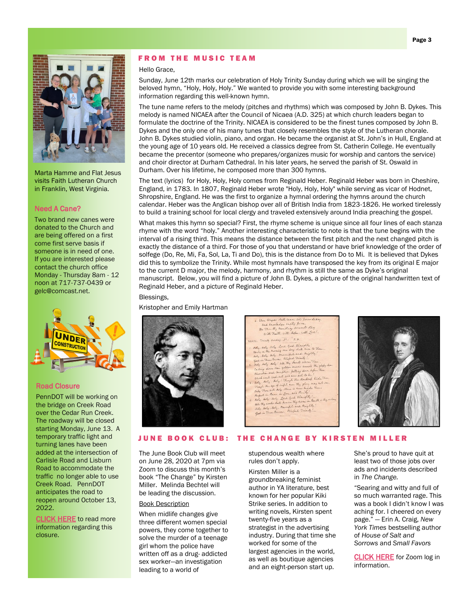

Marta Hamme and Flat Jesus visits Faith Lutheran Church in Franklin, West Virginia.

#### Need A Cane?

Two brand new canes were donated to the Church and are being offered on a first come first serve basis if someone is in need of one. If you are interested please contact the church office Monday - Thursday 8am - 12 noon at 717-737-0439 or gelc@comcast.net.



#### Road Closure

PennDOT will be working on the bridge on Creek Road over the Cedar Run Creek. The roadway will be closed starting Monday, June 13. A temporary traffic light and turning lanes have been added at the intersection of Carlisle Road and Lisburn Road to accommodate the traffic no longer able to use Creek Road. PennDOT anticipates the road to reopen around October 13, 2022.

**[CLICK HERE](https://www.penndot.pa.gov/regionaloffices/district-8/pages/details.aspx?newsid=1696)** to read more information regarding this closure.

# **FROM THE MUSIC TEAM**

#### Hello Grace,

Sunday, June 12th marks our celebration of Holy Trinity Sunday during which we will be singing the beloved hymn, "Holy, Holy, Holy." We wanted to provide you with some interesting background information regarding this well-known hymn.

The tune name refers to the melody (pitches and rhythms) which was composed by John B. Dykes. This melody is named NICAEA after the Council of Nicaea (A.D. 325) at which church leaders began to formulate the doctrine of the Trinity. NICAEA is considered to be the finest tunes composed by John B. Dykes and the only one of his many tunes that closely resembles the style of the Lutheran chorale. John B. Dykes studied violin, piano, and organ. He became the organist at St. John's in Hull, England at the young age of 10 years old. He received a classics degree from St. Catherin College. He eventually became the precentor (someone who prepares/organizes music for worship and cantors the service) and choir director at Durham Cathedral. In his later years, he served the parish of St. Oswald in Durham. Over his lifetime, he composed more than 300 hymns.

The text (lyrics) for Holy, Holy, Holy comes from Reginald Heber. Reginald Heber was born in Cheshire, England, in 1783. In 1807, Reginald Heber wrote "Holy, Holy, Holy" while serving as vicar of Hodnet, Shropshire, England. He was the first to organize a hymnal ordering the hymns around the church calendar. Heber was the Anglican bishop over all of British India from 1823-1826. He worked tirelessly to build a training school for local clergy and traveled extensively around India preaching the gospel.

What makes this hymn so special? First, the rhyme scheme is unique since all four lines of each stanza rhyme with the word "holy." Another interesting characteristic to note is that the tune begins with the interval of a rising third. This means the distance between the first pitch and the next changed pitch is exactly the distance of a third. For those of you that understand or have brief knowledge of the order of solfege (Do, Re, Mi, Fa, Sol, La, Ti and Do), this is the distance from Do to Mi. It is believed that Dykes did this to symbolize the Trinity. While most hymnals have transposed the key from its original E major to the current D major, the melody, harmony, and rhythm is still the same as Dyke's original manuscript. Below, you will find a picture of John B. Dykes, a picture of the original handwritten text of Reginald Heber, and a picture of Reginald Heber.

#### Blessings,

Kristopher and Emily Hartman







#### JUNE BOOK CLUB: THE CHANGE BY KIRSTEN MILLER

The June Book Club will meet on June 28, 2020 at 7pm via Zoom to discuss this month's book "The Change" by Kirsten Miller. Melinda Bechtel will be leading the discussion.

## Book Description

When midlife changes give three different women special powers, they come together to solve the murder of a teenage girl whom the police have written off as a drug- addicted sex worker—an investigation leading to a world of

stupendous wealth where rules don't apply.

Kirsten Miller is a groundbreaking feminist author in YA literature, best known for her popular Kiki Strike series. In addition to writing novels, Kirsten spent twenty-five years as a strategist in the advertising industry. During that time she worked for some of the largest agencies in the world, as well as boutique agencies and an eight-person start up.

She's proud to have quit at least two of those jobs over ads and incidents described in *The Change.*

"Searing and witty and full of so much warranted rage. This was a book I didn't know I was aching for. I cheered on every page." — Erin A. Craig, *New York Times* bestselling author of *House of Salt and Sorrows* and *Small Favors*

**CLICK HERE** for Zoom log in information.